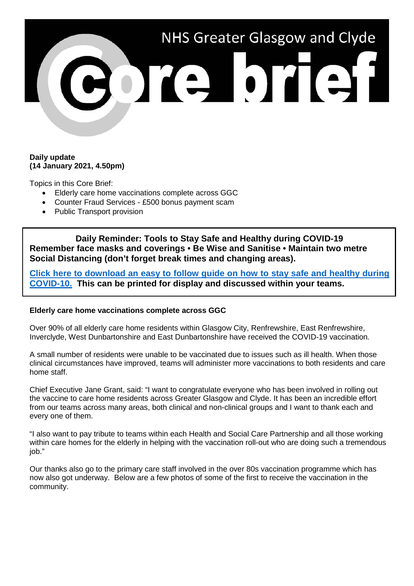

## **Daily update (14 January 2021, 4.50pm)**

Topics in this Core Brief:

- Elderly care home vaccinations complete across GGC
- Counter Fraud Services £500 bonus payment scam
- Public Transport provision

**Daily Reminder: Tools to Stay Safe and Healthy during COVID-19 Remember face masks and coverings • Be Wise and Sanitise • Maintain two metre Social Distancing (don't forget break times and changing areas).**

**[Click here to download an easy to follow guide on how to stay safe and healthy during](https://www.nhsggc.org.uk/media/264570/tools-to-stay-safe-and-healthy-during-covid-19-infographic.pdf)  [COVID-10.](https://www.nhsggc.org.uk/media/264570/tools-to-stay-safe-and-healthy-during-covid-19-infographic.pdf) This can be printed for display and discussed within your teams.**

## **Elderly care home vaccinations complete across GGC**

Over 90% of all elderly care home residents within Glasgow City, Renfrewshire, East Renfrewshire, Inverclyde, West Dunbartonshire and East Dunbartonshire have received the COVID-19 vaccination.

A small number of residents were unable to be vaccinated due to issues such as ill health. When those clinical circumstances have improved, teams will administer more vaccinations to both residents and care home staff.

Chief Executive Jane Grant, said: "I want to congratulate everyone who has been involved in rolling out the vaccine to care home residents across Greater Glasgow and Clyde. It has been an incredible effort from our teams across many areas, both clinical and non-clinical groups and I want to thank each and every one of them.

"I also want to pay tribute to teams within each Health and Social Care Partnership and all those working within care homes for the elderly in helping with the vaccination roll-out who are doing such a tremendous iob."

Our thanks also go to the primary care staff involved in the over 80s vaccination programme which has now also got underway. Below are a few photos of some of the first to receive the vaccination in the community.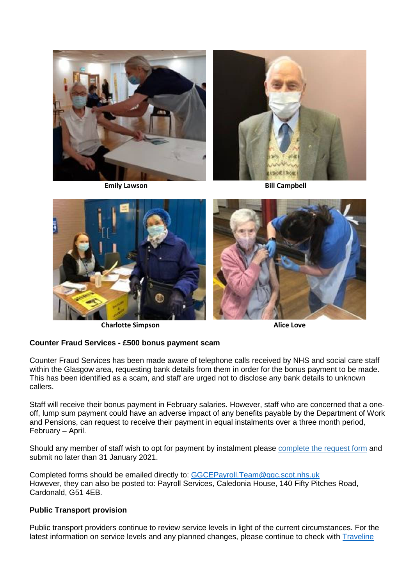







**Charlotte Simpson Alice Love** 

## **Counter Fraud Services - £500 bonus payment scam**

Counter Fraud Services has been made aware of telephone calls received by NHS and social care staff within the Glasgow area, requesting bank details from them in order for the bonus payment to be made. This has been identified as a scam, and staff are urged not to disclose any bank details to unknown callers.

Staff will receive their bonus payment in February salaries. However, staff who are concerned that a oneoff, lump sum payment could have an adverse impact of any benefits payable by the Department of Work and Pensions, can request to receive their payment in equal instalments over a three month period, February – April.

Should any member of staff wish to opt for payment by instalment please [complete the request form](https://www.nhsggc.org.uk/media/264496/nhsggc_covid_payment_by_instalment_form.docx) and submit no later than 31 January 2021.

Completed forms should be emailed directly to: [GGCEPayroll.Team@ggc.scot.nhs.uk](mailto:GGCEPayroll.Team@ggc.scot.nhs.uk) However, they can also be posted to: Payroll Services, Caledonia House, 140 Fifty Pitches Road, Cardonald, G51 4EB.

## **Public Transport provision**

Public transport providers continue to review service levels in light of the current circumstances. For the latest information on service levels and any planned changes, please continue to check with **Traveline**